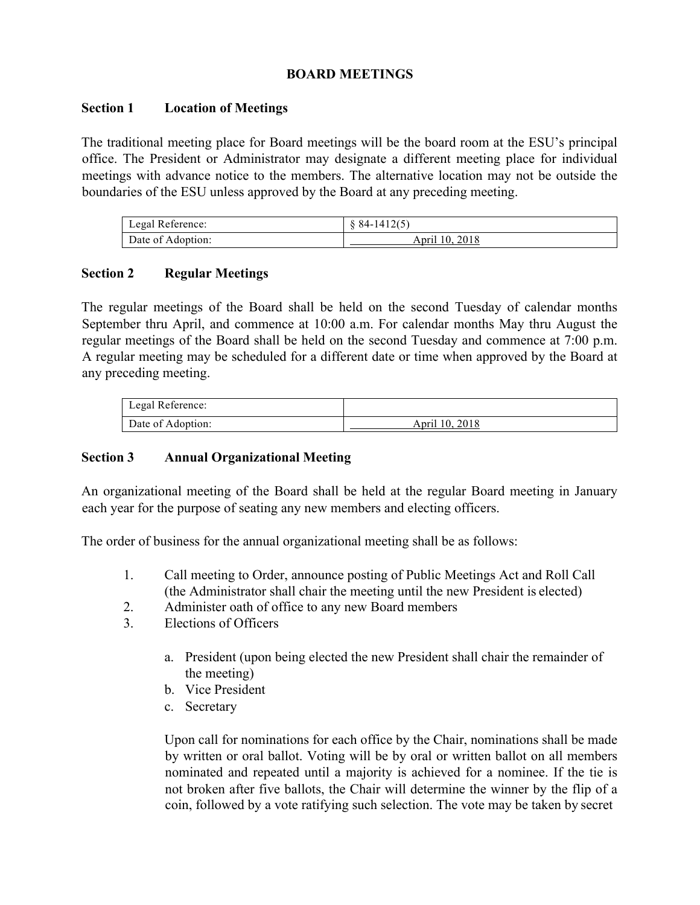### **BOARD MEETINGS**

#### **Section 1 Location of Meetings**

The traditional meeting place for Board meetings will be the board room at the ESU's principal office. The President or Administrator may designate a different meeting place for individual meetings with advance notice to the members. The alternative location may not be outside the boundaries of the ESU unless approved by the Board at any preceding meeting.

| Legal Reference:  | $\&$ 84-1412(5) |
|-------------------|-----------------|
| Date of Adoption: | April 10, 2018  |

#### **Section 2 Regular Meetings**

The regular meetings of the Board shall be held on the second Tuesday of calendar months September thru April, and commence at 10:00 a.m. For calendar months May thru August the regular meetings of the Board shall be held on the second Tuesday and commence at 7:00 p.m. A regular meeting may be scheduled for a different date or time when approved by the Board at any preceding meeting.

| Legal Reference:  |                |
|-------------------|----------------|
| Date of Adoption: | April 10, 2018 |

### **Section 3 Annual Organizational Meeting**

An organizational meeting of the Board shall be held at the regular Board meeting in January each year for the purpose of seating any new members and electing officers.

The order of business for the annual organizational meeting shall be as follows:

- 1. Call meeting to Order, announce posting of Public Meetings Act and Roll Call (the Administrator shall chair the meeting until the new President is elected)
- 2. Administer oath of office to any new Board members
- 3. Elections of Officers
	- a. President (upon being elected the new President shall chair the remainder of the meeting)
	- b. Vice President
	- c. Secretary

Upon call for nominations for each office by the Chair, nominations shall be made by written or oral ballot. Voting will be by oral or written ballot on all members nominated and repeated until a majority is achieved for a nominee. If the tie is not broken after five ballots, the Chair will determine the winner by the flip of a coin, followed by a vote ratifying such selection. The vote may be taken by secret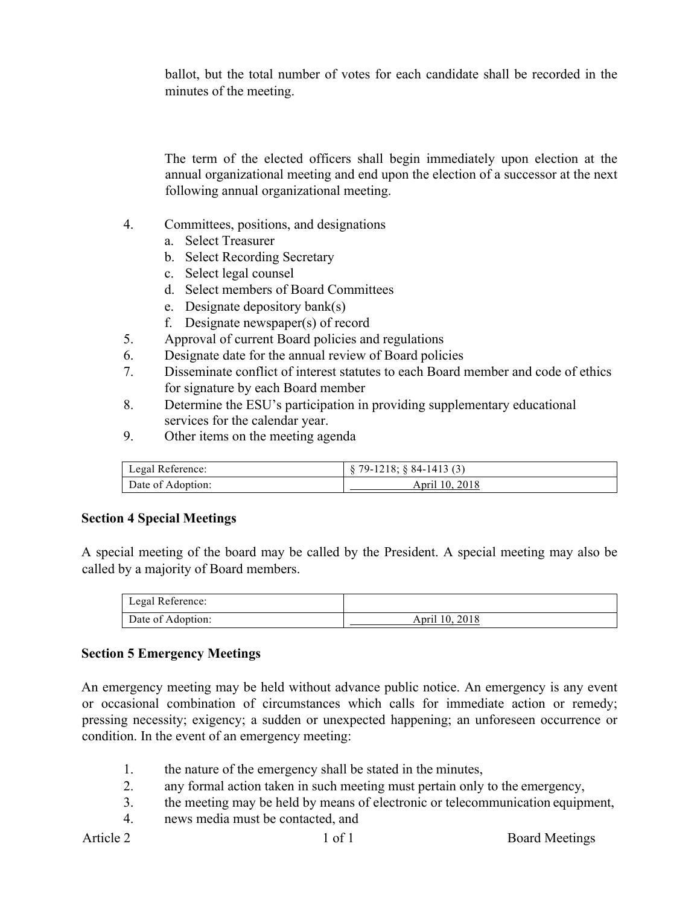ballot, but the total number of votes for each candidate shall be recorded in the minutes of the meeting.

The term of the elected officers shall begin immediately upon election at the annual organizational meeting and end upon the election of a successor at the next following annual organizational meeting.

- 4. Committees, positions, and designations
	- a. Select Treasurer
	- b. Select Recording Secretary
	- c. Select legal counsel
	- d. Select members of Board Committees
	- e. Designate depository bank(s)
	- f. Designate newspaper(s) of record
- 5. Approval of current Board policies and regulations
- 6. Designate date for the annual review of Board policies
- 7. Disseminate conflict of interest statutes to each Board member and code of ethics for signature by each Board member
- 8. Determine the ESU's participation in providing supplementary educational services for the calendar year.
- 9. Other items on the meeting agenda

| Legal Reference:  | $\frac{1}{2}$ \$79-1218; §84-1413 (3) |
|-------------------|---------------------------------------|
| Date of Adoption: | April 10, 2018                        |

#### **Section 4 Special Meetings**

A special meeting of the board may be called by the President. A special meeting may also be called by a majority of Board members.

| Legal Reference:  |                |
|-------------------|----------------|
| Date of Adoption: | April 10, 2018 |

#### **Section 5 Emergency Meetings**

An emergency meeting may be held without advance public notice. An emergency is any event or occasional combination of circumstances which calls for immediate action or remedy; pressing necessity; exigency; a sudden or unexpected happening; an unforeseen occurrence or condition. In the event of an emergency meeting:

- 1. the nature of the emergency shall be stated in the minutes,
- 2. any formal action taken in such meeting must pertain only to the emergency,
- 3. the meeting may be held by means of electronic or telecommunication equipment,
- 4. news media must be contacted, and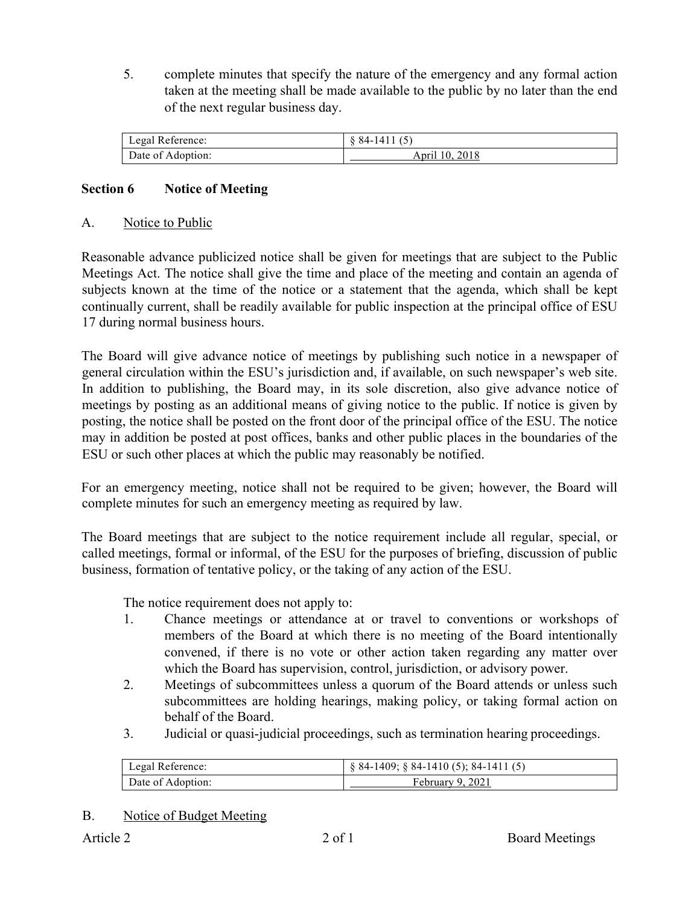5. complete minutes that specify the nature of the emergency and any formal action taken at the meeting shall be made available to the public by no later than the end of the next regular business day.

| Legal Reference:  | 84-1411 (5)    |
|-------------------|----------------|
| Date of Adoption: | April 10, 2018 |

# **Section 6 Notice of Meeting**

### A. Notice to Public

Reasonable advance publicized notice shall be given for meetings that are subject to the Public Meetings Act. The notice shall give the time and place of the meeting and contain an agenda of subjects known at the time of the notice or a statement that the agenda, which shall be kept continually current, shall be readily available for public inspection at the principal office of ESU 17 during normal business hours.

The Board will give advance notice of meetings by publishing such notice in a newspaper of general circulation within the ESU's jurisdiction and, if available, on such newspaper's web site. In addition to publishing, the Board may, in its sole discretion, also give advance notice of meetings by posting as an additional means of giving notice to the public. If notice is given by posting, the notice shall be posted on the front door of the principal office of the ESU. The notice may in addition be posted at post offices, banks and other public places in the boundaries of the ESU or such other places at which the public may reasonably be notified.

For an emergency meeting, notice shall not be required to be given; however, the Board will complete minutes for such an emergency meeting as required by law.

The Board meetings that are subject to the notice requirement include all regular, special, or called meetings, formal or informal, of the ESU for the purposes of briefing, discussion of public business, formation of tentative policy, or the taking of any action of the ESU.

The notice requirement does not apply to:

- 1. Chance meetings or attendance at or travel to conventions or workshops of members of the Board at which there is no meeting of the Board intentionally convened, if there is no vote or other action taken regarding any matter over which the Board has supervision, control, jurisdiction, or advisory power.
- 2. Meetings of subcommittees unless a quorum of the Board attends or unless such subcommittees are holding hearings, making policy, or taking formal action on behalf of the Board.
- 3. Judicial or quasi-judicial proceedings, such as termination hearing proceedings.

| Legal Reference:  | $\S$ 84-1409; $\S$ 84-1410 (5); 84-1411 (5) |
|-------------------|---------------------------------------------|
| Date of Adoption: | February 9, 2021                            |

#### B. Notice of Budget Meeting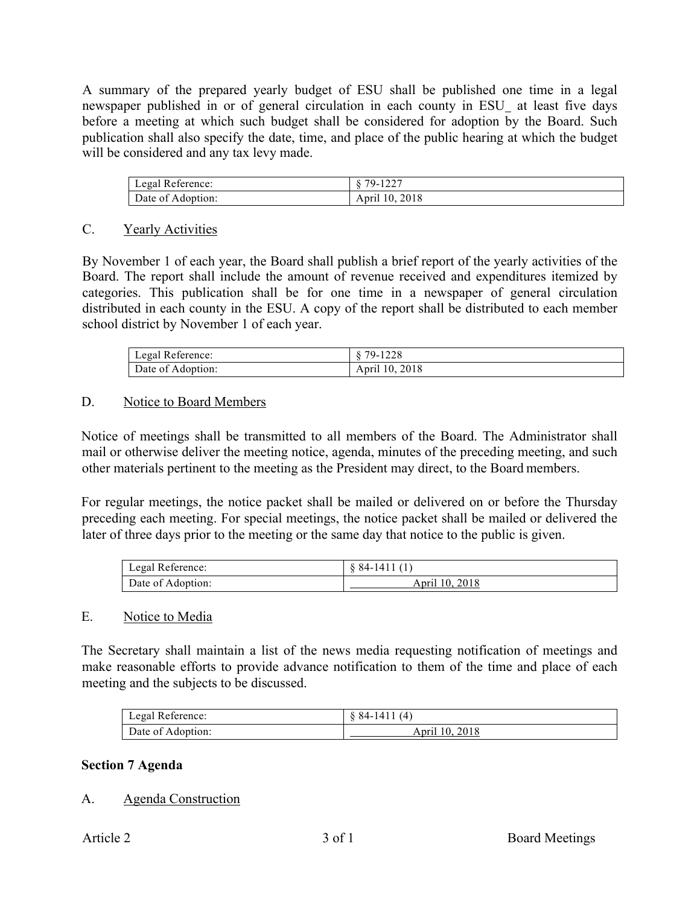A summary of the prepared yearly budget of ESU shall be published one time in a legal newspaper published in or of general circulation in each county in ESU\_ at least five days before a meeting at which such budget shall be considered for adoption by the Board. Such publication shall also specify the date, time, and place of the public hearing at which the budget will be considered and any tax levy made.

| Legal Reference:  | 79-1227<br>1/2 |
|-------------------|----------------|
| Date of Adoption: | April 10, 2018 |

### C. Yearly Activities

By November 1 of each year, the Board shall publish a brief report of the yearly activities of the Board. The report shall include the amount of revenue received and expenditures itemized by categories. This publication shall be for one time in a newspaper of general circulation distributed in each county in the ESU. A copy of the report shall be distributed to each member school district by November 1 of each year.

| Legal Reference:  | 8 79-1228      |
|-------------------|----------------|
| Date of Adoption: | April 10, 2018 |

### D. Notice to Board Members

Notice of meetings shall be transmitted to all members of the Board. The Administrator shall mail or otherwise deliver the meeting notice, agenda, minutes of the preceding meeting, and such other materials pertinent to the meeting as the President may direct, to the Board members.

For regular meetings, the notice packet shall be mailed or delivered on or before the Thursday preceding each meeting. For special meetings, the notice packet shall be mailed or delivered the later of three days prior to the meeting or the same day that notice to the public is given.

| Legal Reference:  | 84-141         |
|-------------------|----------------|
| Date of Adoption: | April 10, 2018 |

#### E. Notice to Media

The Secretary shall maintain a list of the news media requesting notification of meetings and make reasonable efforts to provide advance notification to them of the time and place of each meeting and the subjects to be discussed.

| Legal Reference:  | $\&$ 84-1411 (4) |
|-------------------|------------------|
| Date of Adoption: | April 10, 2018   |

### **Section 7 Agenda**

### A. Agenda Construction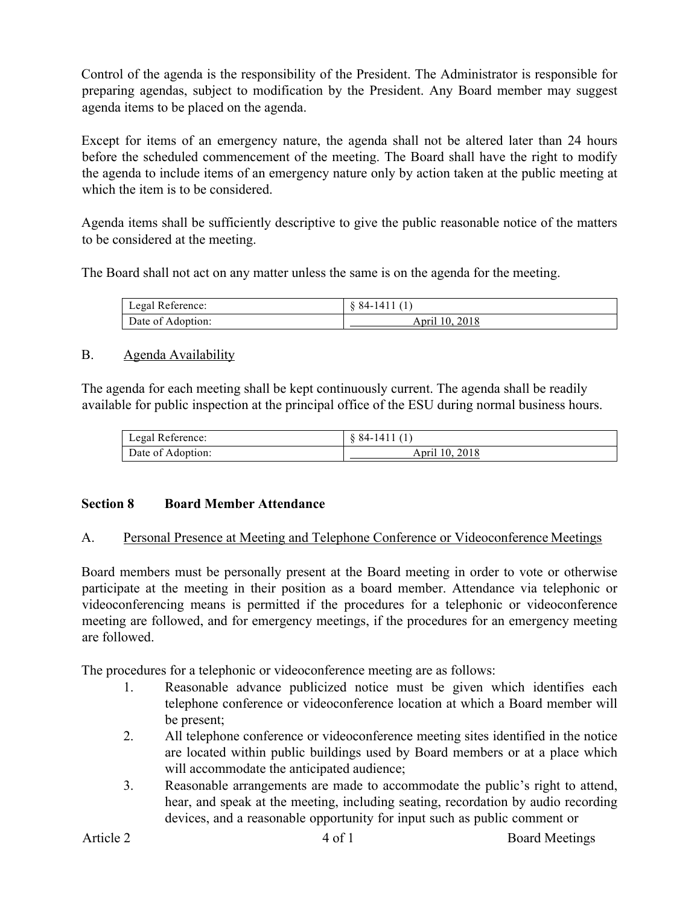Control of the agenda is the responsibility of the President. The Administrator is responsible for preparing agendas, subject to modification by the President. Any Board member may suggest agenda items to be placed on the agenda.

Except for items of an emergency nature, the agenda shall not be altered later than 24 hours before the scheduled commencement of the meeting. The Board shall have the right to modify the agenda to include items of an emergency nature only by action taken at the public meeting at which the item is to be considered.

Agenda items shall be sufficiently descriptive to give the public reasonable notice of the matters to be considered at the meeting.

The Board shall not act on any matter unless the same is on the agenda for the meeting.

| Legal Reference:  | $\&$ 84-1411 (1) |
|-------------------|------------------|
| Date of Adoption: | April 10, 2018   |

## B. Agenda Availability

The agenda for each meeting shall be kept continuously current. The agenda shall be readily available for public inspection at the principal office of the ESU during normal business hours.

| Legal Reference:  | $84-1411(1)$   |
|-------------------|----------------|
| Date of Adoption: | April 10, 2018 |

# **Section 8 Board Member Attendance**

### A. Personal Presence at Meeting and Telephone Conference or Videoconference Meetings

Board members must be personally present at the Board meeting in order to vote or otherwise participate at the meeting in their position as a board member. Attendance via telephonic or videoconferencing means is permitted if the procedures for a telephonic or videoconference meeting are followed, and for emergency meetings, if the procedures for an emergency meeting are followed.

The procedures for a telephonic or videoconference meeting are as follows:

- 1. Reasonable advance publicized notice must be given which identifies each telephone conference or videoconference location at which a Board member will be present;
- 2. All telephone conference or videoconference meeting sites identified in the notice are located within public buildings used by Board members or at a place which will accommodate the anticipated audience;
- 3. Reasonable arrangements are made to accommodate the public's right to attend, hear, and speak at the meeting, including seating, recordation by audio recording devices, and a reasonable opportunity for input such as public comment or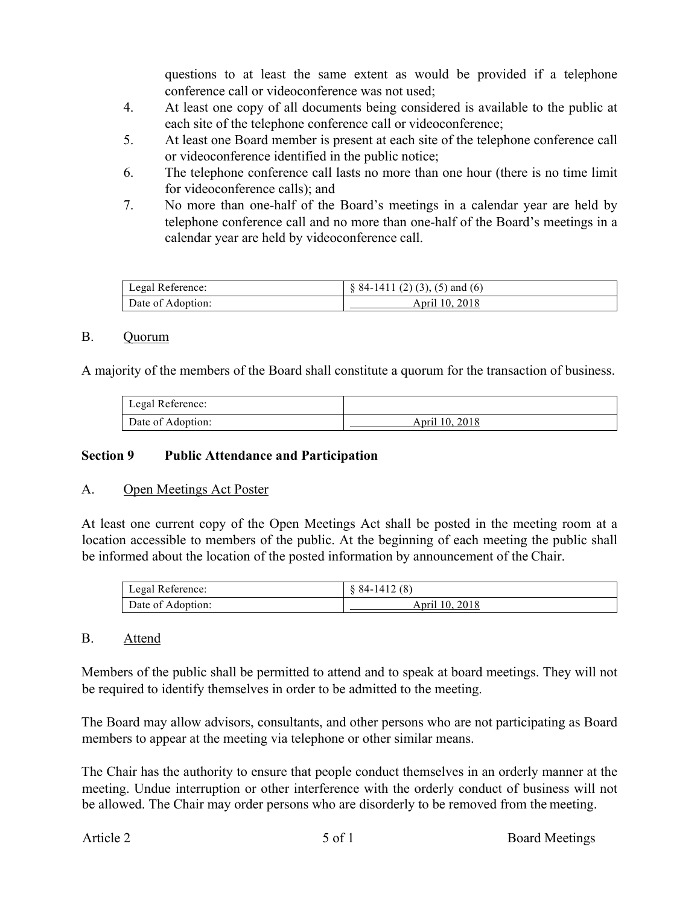questions to at least the same extent as would be provided if a telephone conference call or videoconference was not used;

- 4. At least one copy of all documents being considered is available to the public at each site of the telephone conference call or videoconference;
- 5. At least one Board member is present at each site of the telephone conference call or videoconference identified in the public notice;
- 6. The telephone conference call lasts no more than one hour (there is no time limit for videoconference calls); and
- 7. No more than one-half of the Board's meetings in a calendar year are held by telephone conference call and no more than one-half of the Board's meetings in a calendar year are held by videoconference call.

| Legal Reference:  | $\S$ 84-1411 (2) (3), (5) and (6) |
|-------------------|-----------------------------------|
| Date of Adoption: | April 10, 2018                    |

#### B. Quorum

A majority of the members of the Board shall constitute a quorum for the transaction of business.

| Legal Reference:  |                |
|-------------------|----------------|
| Date of Adoption: | April 10, 2018 |

### **Section 9 Public Attendance and Participation**

### A. Open Meetings Act Poster

At least one current copy of the Open Meetings Act shall be posted in the meeting room at a location accessible to members of the public. At the beginning of each meeting the public shall be informed about the location of the posted information by announcement of the Chair.

| Legal Reference:  | $\{84-1412(8)\}$ |
|-------------------|------------------|
| Date of Adoption: | April 10, 2018   |

### B. Attend

Members of the public shall be permitted to attend and to speak at board meetings. They will not be required to identify themselves in order to be admitted to the meeting.

The Board may allow advisors, consultants, and other persons who are not participating as Board members to appear at the meeting via telephone or other similar means.

The Chair has the authority to ensure that people conduct themselves in an orderly manner at the meeting. Undue interruption or other interference with the orderly conduct of business will not be allowed. The Chair may order persons who are disorderly to be removed from the meeting.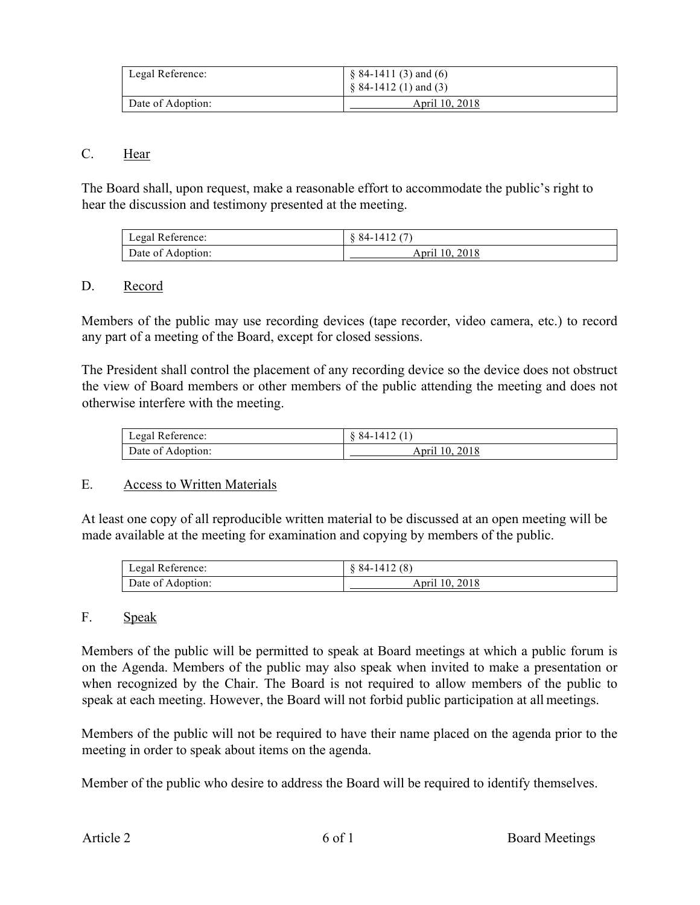| Legal Reference:  | $§ 84-1411(3)$ and (6)<br>$\S$ 84-1412 (1) and (3) |
|-------------------|----------------------------------------------------|
| Date of Adoption: | April 10, 2018                                     |

### C. Hear

The Board shall, upon request, make a reasonable effort to accommodate the public's right to hear the discussion and testimony presented at the meeting.

| Legal Reference:  | $\&$ 84-1412 (7) |
|-------------------|------------------|
| Date of Adoption: | April 10, 2018   |

#### D. Record

Members of the public may use recording devices (tape recorder, video camera, etc.) to record any part of a meeting of the Board, except for closed sessions.

The President shall control the placement of any recording device so the device does not obstruct the view of Board members or other members of the public attending the meeting and does not otherwise interfere with the meeting.

| Legal Reference:  | $84-1412(1)$   |
|-------------------|----------------|
| Date of Adoption: | April 10, 2018 |

#### E. Access to Written Materials

At least one copy of all reproducible written material to be discussed at an open meeting will be made available at the meeting for examination and copying by members of the public.

| Legal Reference:  | $\&$ 84-1412 (8) |
|-------------------|------------------|
| Date of Adoption: | April 10, 2018   |

#### F. Speak

Members of the public will be permitted to speak at Board meetings at which a public forum is on the Agenda. Members of the public may also speak when invited to make a presentation or when recognized by the Chair. The Board is not required to allow members of the public to speak at each meeting. However, the Board will not forbid public participation at all meetings.

Members of the public will not be required to have their name placed on the agenda prior to the meeting in order to speak about items on the agenda.

Member of the public who desire to address the Board will be required to identify themselves.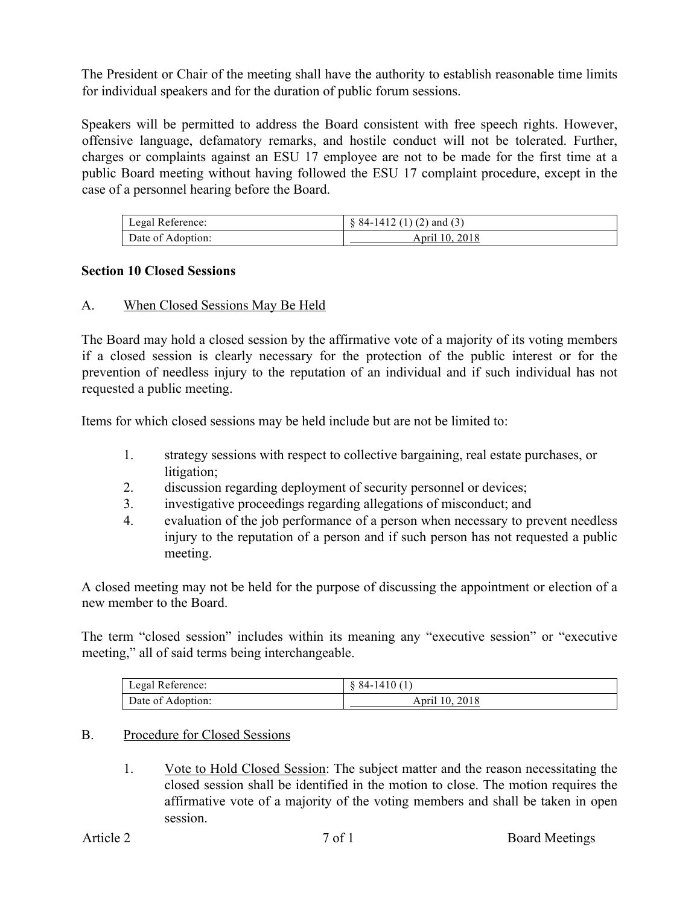The President or Chair of the meeting shall have the authority to establish reasonable time limits for individual speakers and for the duration of public forum sessions.

Speakers will be permitted to address the Board consistent with free speech rights. However, offensive language, defamatory remarks, and hostile conduct will not be tolerated. Further, charges or complaints against an ESU 17 employee are not to be made for the first time at a public Board meeting without having followed the ESU 17 complaint procedure, except in the case of a personnel hearing before the Board.

| Legal Reference:  | $\S$ 84-1412 (1) (2) and (3) |
|-------------------|------------------------------|
| Date of Adoption: | April 10, 2018               |

### **Section 10 Closed Sessions**

## A. When Closed Sessions May Be Held

The Board may hold a closed session by the affirmative vote of a majority of its voting members if a closed session is clearly necessary for the protection of the public interest or for the prevention of needless injury to the reputation of an individual and if such individual has not requested a public meeting.

Items for which closed sessions may be held include but are not be limited to:

- 1. strategy sessions with respect to collective bargaining, real estate purchases, or litigation;
- 2. discussion regarding deployment of security personnel or devices;
- 3. investigative proceedings regarding allegations of misconduct; and
- 4. evaluation of the job performance of a person when necessary to prevent needless injury to the reputation of a person and if such person has not requested a public meeting.

A closed meeting may not be held for the purpose of discussing the appointment or election of a new member to the Board.

The term "closed session" includes within its meaning any "executive session" or "executive meeting," all of said terms being interchangeable.

| Legal Reference:  | $\&$ 84-1410 (1) |
|-------------------|------------------|
| Date of Adoption: | April 10, 2018   |

### B. Procedure for Closed Sessions

1. Vote to Hold Closed Session: The subject matter and the reason necessitating the closed session shall be identified in the motion to close. The motion requires the affirmative vote of a majority of the voting members and shall be taken in open session.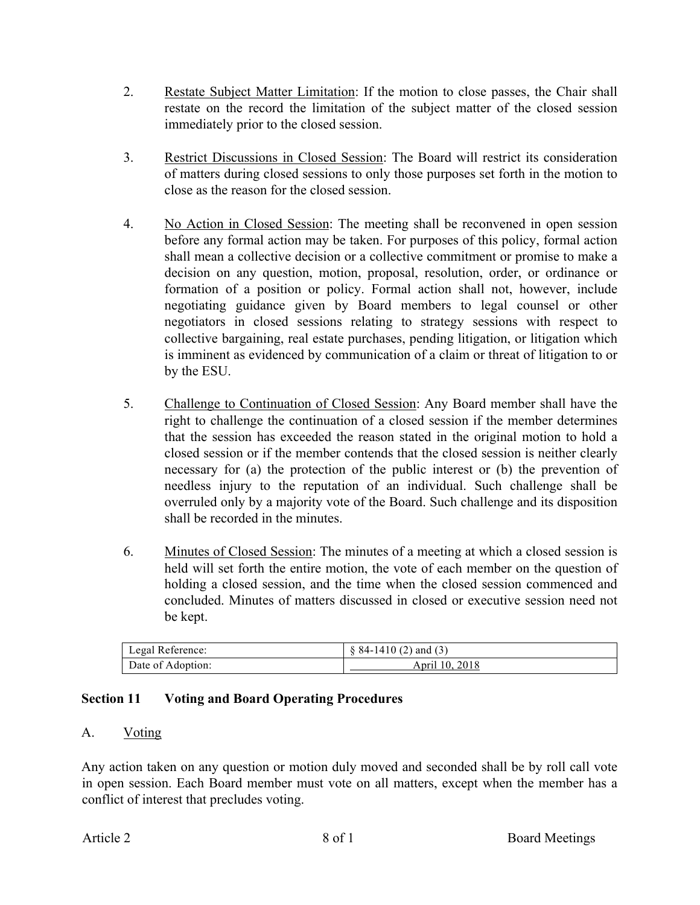- 2. Restate Subject Matter Limitation: If the motion to close passes, the Chair shall restate on the record the limitation of the subject matter of the closed session immediately prior to the closed session.
- 3. Restrict Discussions in Closed Session: The Board will restrict its consideration of matters during closed sessions to only those purposes set forth in the motion to close as the reason for the closed session.
- 4. No Action in Closed Session: The meeting shall be reconvened in open session before any formal action may be taken. For purposes of this policy, formal action shall mean a collective decision or a collective commitment or promise to make a decision on any question, motion, proposal, resolution, order, or ordinance or formation of a position or policy. Formal action shall not, however, include negotiating guidance given by Board members to legal counsel or other negotiators in closed sessions relating to strategy sessions with respect to collective bargaining, real estate purchases, pending litigation, or litigation which is imminent as evidenced by communication of a claim or threat of litigation to or by the ESU.
- 5. Challenge to Continuation of Closed Session: Any Board member shall have the right to challenge the continuation of a closed session if the member determines that the session has exceeded the reason stated in the original motion to hold a closed session or if the member contends that the closed session is neither clearly necessary for (a) the protection of the public interest or (b) the prevention of needless injury to the reputation of an individual. Such challenge shall be overruled only by a majority vote of the Board. Such challenge and its disposition shall be recorded in the minutes.
- 6. Minutes of Closed Session: The minutes of a meeting at which a closed session is held will set forth the entire motion, the vote of each member on the question of holding a closed session, and the time when the closed session commenced and concluded. Minutes of matters discussed in closed or executive session need not be kept.

| Legal Reference:  | $\&$ 84-1410 (2) and (3) |
|-------------------|--------------------------|
| Date of Adoption: | April 10, 2018           |

# **Section 11 Voting and Board Operating Procedures**

### A. Voting

Any action taken on any question or motion duly moved and seconded shall be by roll call vote in open session. Each Board member must vote on all matters, except when the member has a conflict of interest that precludes voting.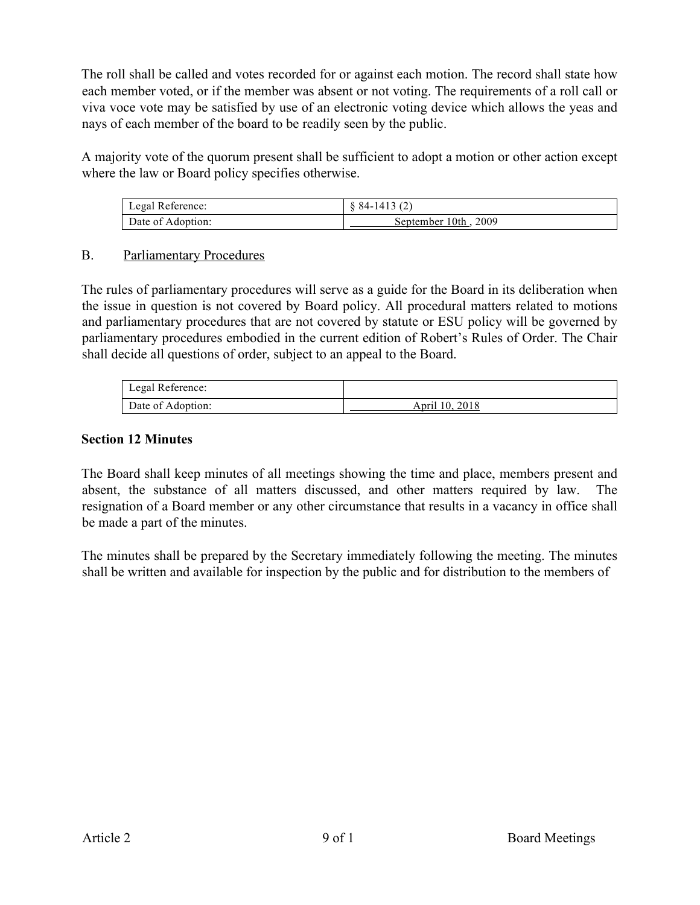The roll shall be called and votes recorded for or against each motion. The record shall state how each member voted, or if the member was absent or not voting. The requirements of a roll call or viva voce vote may be satisfied by use of an electronic voting device which allows the yeas and nays of each member of the board to be readily seen by the public.

A majority vote of the quorum present shall be sufficient to adopt a motion or other action except where the law or Board policy specifies otherwise.

| Legal Reference:  | $\{84-1413(2)\}$     |
|-------------------|----------------------|
| Date of Adoption: | September 10th, 2009 |

### B. Parliamentary Procedures

The rules of parliamentary procedures will serve as a guide for the Board in its deliberation when the issue in question is not covered by Board policy. All procedural matters related to motions and parliamentary procedures that are not covered by statute or ESU policy will be governed by parliamentary procedures embodied in the current edition of Robert's Rules of Order. The Chair shall decide all questions of order, subject to an appeal to the Board.

| Legal Reference:  |                |
|-------------------|----------------|
| Date of Adoption: | April 10, 2018 |

## **Section 12 Minutes**

The Board shall keep minutes of all meetings showing the time and place, members present and absent, the substance of all matters discussed, and other matters required by law. The resignation of a Board member or any other circumstance that results in a vacancy in office shall be made a part of the minutes.

The minutes shall be prepared by the Secretary immediately following the meeting. The minutes shall be written and available for inspection by the public and for distribution to the members of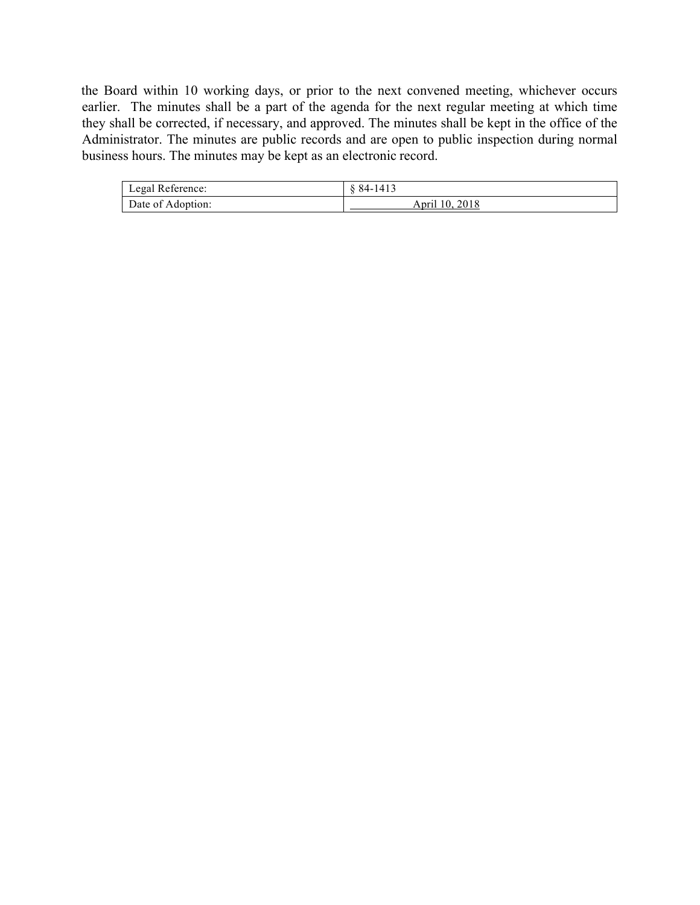the Board within 10 working days, or prior to the next convened meeting, whichever occurs earlier. The minutes shall be a part of the agenda for the next regular meeting at which time they shall be corrected, if necessary, and approved. The minutes shall be kept in the office of the Administrator. The minutes are public records and are open to public inspection during normal business hours. The minutes may be kept as an electronic record.

| Legal Reference:  | 84-1413        |
|-------------------|----------------|
| Date of Adoption: | April 10, 2018 |